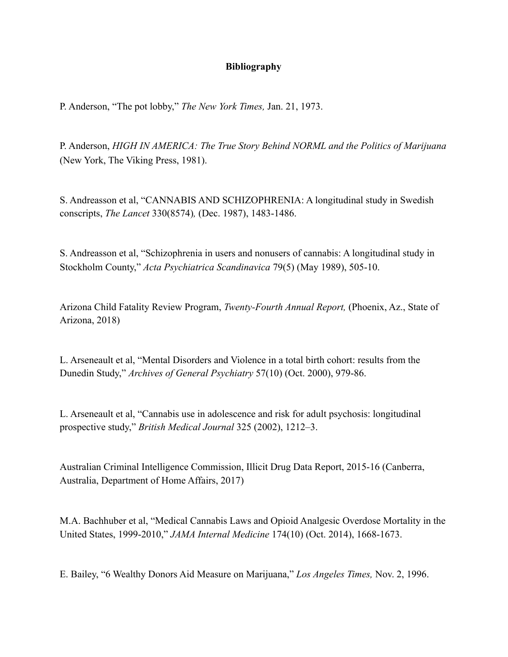## **Bibliography**

P. Anderson, "The pot lobby," *The New York Times,* Jan. 21, 1973.

P. Anderson, *HIGH IN AMERICA: The True Story Behind NORML and the Politics of Marijuana*  (New York, The Viking Press, 1981).

S. Andreasson et al, "CANNABIS AND SCHIZOPHRENIA: A longitudinal study in Swedish conscripts, *The Lancet* 330(8574)*,* (Dec. 1987), 1483-1486.

S. Andreasson et al, "Schizophrenia in users and nonusers of cannabis: A longitudinal study in Stockholm County," *Acta Psychiatrica Scandinavica* 79(5) (May 1989), 505-10.

Arizona Child Fatality Review Program, *Twenty-Fourth Annual Report,* (Phoenix, Az., State of Arizona, 2018)

L. Arseneault et al, "Mental Disorders and Violence in a total birth cohort: results from the Dunedin Study," *Archives of General Psychiatry* 57(10) (Oct. 2000), 979-86.

L. Arseneault et al, "Cannabis use in adolescence and risk for adult psychosis: longitudinal prospective study," *British Medical Journal* 325 (2002), 1212–3.

Australian Criminal Intelligence Commission, Illicit Drug Data Report, 2015-16 (Canberra, Australia, Department of Home Affairs, 2017)

M.A. Bachhuber et al, "Medical Cannabis Laws and Opioid Analgesic Overdose Mortality in the United States, 1999-2010," *JAMA Internal Medicine* 174(10) (Oct. 2014), 1668-1673.

E. Bailey, "6 Wealthy Donors Aid Measure on Marijuana," *Los Angeles Times,* Nov. 2, 1996.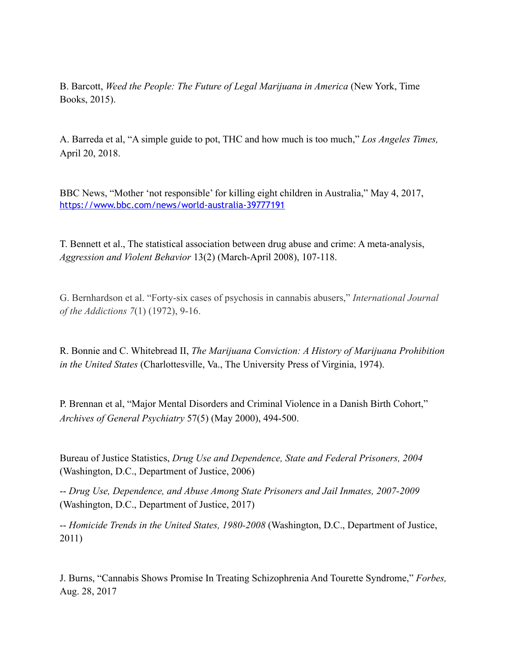B. Barcott, *Weed the People: The Future of Legal Marijuana in America* (New York, Time Books, 2015).

A. Barreda et al, "A simple guide to pot, THC and how much is too much," *Los Angeles Times,*  April 20, 2018.

BBC News, "Mother 'not responsible' for killing eight children in Australia," May 4, 2017, <https://www.bbc.com/news/world-australia-39777191>

T. Bennett et al., The statistical association between drug abuse and crime: A meta-analysis, *Aggression and Violent Behavior* 13(2) (March-April 2008), 107-118.

G. Bernhardson et al. "Forty-six cases of psychosis in cannabis abusers," *International Journal of the Addictions 7*(1) (1972), 9-16.

R. Bonnie and C. Whitebread II, *The Marijuana Conviction: A History of Marijuana Prohibition in the United States* (Charlottesville, Va., The University Press of Virginia, 1974).

P. Brennan et al, "Major Mental Disorders and Criminal Violence in a Danish Birth Cohort," *Archives of General Psychiatry* 57(5) (May 2000), 494-500.

Bureau of Justice Statistics, *Drug Use and Dependence, State and Federal Prisoners, 2004*  (Washington, D.C., Department of Justice, 2006)

-- *Drug Use, Dependence, and Abuse Among State Prisoners and Jail Inmates, 2007-2009*  (Washington, D.C., Department of Justice, 2017)

-- *Homicide Trends in the United States, 1980-2008* (Washington, D.C., Department of Justice, 2011)

J. Burns, "Cannabis Shows Promise In Treating Schizophrenia And Tourette Syndrome," *Forbes,*  Aug. 28, 2017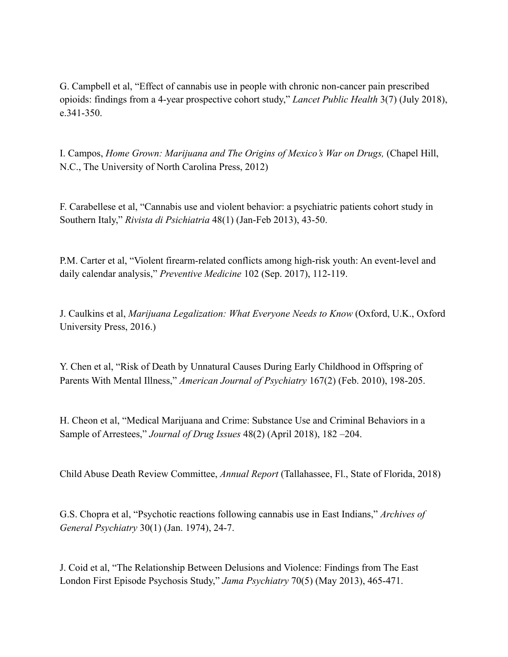G. Campbell et al, "Effect of cannabis use in people with chronic non-cancer pain prescribed opioids: findings from a 4-year prospective cohort study," *Lancet Public Health* 3(7) (July 2018), e.341-350.

I. Campos, *Home Grown: Marijuana and The Origins of Mexico's War on Drugs,* (Chapel Hill, N.C., The University of North Carolina Press, 2012)

F. Carabellese et al, "Cannabis use and violent behavior: a psychiatric patients cohort study in Southern Italy," *Rivista di Psichiatria* 48(1) (Jan-Feb 2013), 43-50.

P.M. Carter et al, "Violent firearm-related conflicts among high-risk youth: An event-level and daily calendar analysis," *Preventive Medicine* 102 (Sep. 2017), 112-119.

J. Caulkins et al, *Marijuana Legalization: What Everyone Needs to Know* (Oxford, U.K., Oxford University Press, 2016.)

Y. Chen et al, "Risk of Death by Unnatural Causes During Early Childhood in Offspring of Parents With Mental Illness," *American Journal of Psychiatry* 167(2) (Feb. 2010), 198-205.

H. Cheon et al, "Medical Marijuana and Crime: Substance Use and Criminal Behaviors in a Sample of Arrestees," *Journal of Drug Issues* 48(2) (April 2018), 182 –204.

Child Abuse Death Review Committee, *Annual Report* (Tallahassee, Fl., State of Florida, 2018)

G.S. Chopra et al, "Psychotic reactions following cannabis use in East Indians," *Archives of General Psychiatry* 30(1) (Jan. 1974), 24-7.

J. Coid et al, "The Relationship Between Delusions and Violence: Findings from The East London First Episode Psychosis Study," *Jama Psychiatry* 70(5) (May 2013), 465-471.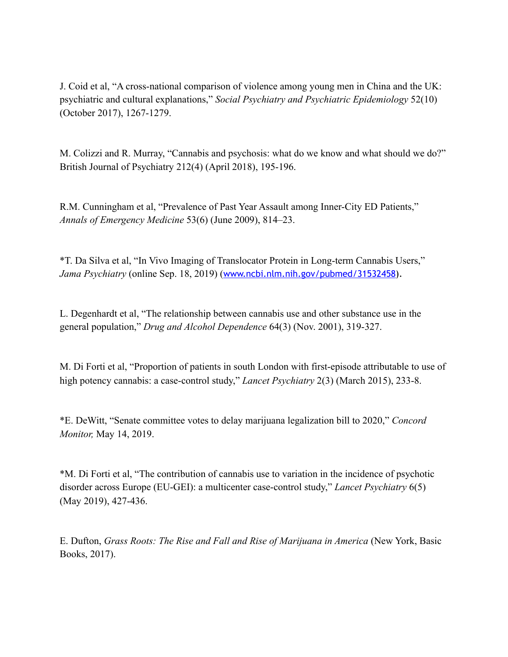J. Coid et al, "A cross-national comparison of violence among young men in China and the UK: psychiatric and cultural explanations," *Social Psychiatry and Psychiatric Epidemiology* 52(10) (October 2017), 1267-1279.

M. Colizzi and R. Murray, "Cannabis and psychosis: what do we know and what should we do?" British Journal of Psychiatry 212(4) (April 2018), 195-196.

R.M. Cunningham et al, "Prevalence of Past Year Assault among Inner-City ED Patients," *Annals of Emergency Medicine* 53(6) (June 2009), 814–23.

\*T. Da Silva et al, "In Vivo Imaging of Translocator Protein in Long-term Cannabis Users," *Jama Psychiatry* (online Sep. 18, 2019) ([www.ncbi.nlm.nih.gov/pubmed/31532458](https://www.ncbi.nlm.nih.gov/pubmed/31532458)).

L. Degenhardt et al, "The relationship between cannabis use and other substance use in the general population," *Drug and Alcohol Dependence* 64(3) (Nov. 2001), 319-327.

M. Di Forti et al, "Proportion of patients in south London with first-episode attributable to use of high potency cannabis: a case-control study," *Lancet Psychiatry* 2(3) (March 2015), 233-8.

\*E. DeWitt, "Senate committee votes to delay marijuana legalization bill to 2020," *Concord Monitor,* May 14, 2019.

\*M. Di Forti et al, "The contribution of cannabis use to variation in the incidence of psychotic disorder across Europe (EU-GEI): a multicenter case-control study," *Lancet Psychiatry* 6(5) (May 2019), 427-436.

E. Dufton, *Grass Roots: The Rise and Fall and Rise of Marijuana in America* (New York, Basic Books, 2017).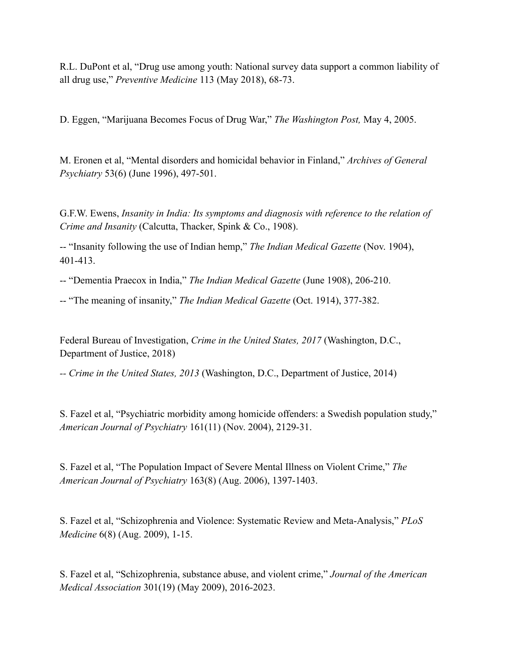R.L. DuPont et al, "Drug use among youth: National survey data support a common liability of all drug use," *Preventive Medicine* 113 (May 2018), 68-73.

D. Eggen, "Marijuana Becomes Focus of Drug War," *The Washington Post,* May 4, 2005.

M. Eronen et al, "Mental disorders and homicidal behavior in Finland," *Archives of General Psychiatry* 53(6) (June 1996), 497-501.

G.F.W. Ewens, *Insanity in India: Its symptoms and diagnosis with reference to the relation of Crime and Insanity* (Calcutta, Thacker, Spink & Co., 1908).

-- "Insanity following the use of Indian hemp," *The Indian Medical Gazette* (Nov. 1904), 401-413.

-- "Dementia Praecox in India," *The Indian Medical Gazette* (June 1908), 206-210.

-- "The meaning of insanity," *The Indian Medical Gazette* (Oct. 1914), 377-382.

Federal Bureau of Investigation, *Crime in the United States, 2017* (Washington, D.C., Department of Justice, 2018)

*-- Crime in the United States, 2013* (Washington, D.C., Department of Justice, 2014)

S. Fazel et al, "Psychiatric morbidity among homicide offenders: a Swedish population study," *American Journal of Psychiatry* 161(11) (Nov. 2004), 2129-31.

S. Fazel et al, "The Population Impact of Severe Mental Illness on Violent Crime," *The American Journal of Psychiatry* 163(8) (Aug. 2006), 1397-1403.

S. Fazel et al, "Schizophrenia and Violence: Systematic Review and Meta-Analysis," *PLoS Medicine* 6(8) (Aug. 2009), 1-15.

S. Fazel et al, "Schizophrenia, substance abuse, and violent crime," *Journal of the American Medical Association* 301(19) (May 2009), 2016-2023.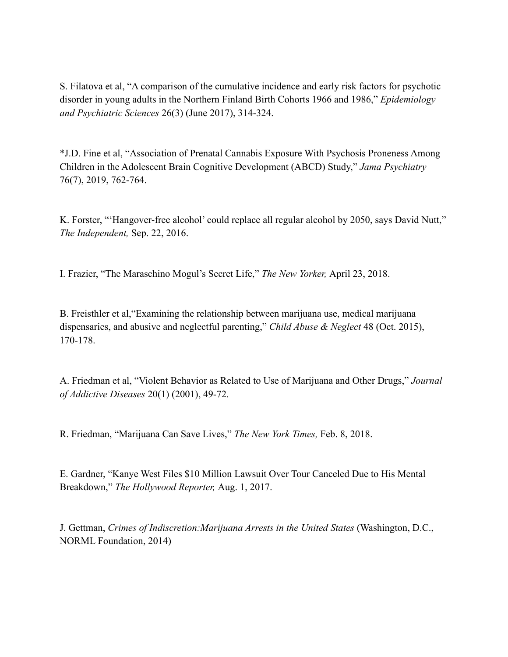S. Filatova et al, "A comparison of the cumulative incidence and early risk factors for psychotic disorder in young adults in the Northern Finland Birth Cohorts 1966 and 1986," *Epidemiology and Psychiatric Sciences* 26(3) (June 2017), 314-324.

\*J.D. Fine et al, "Association of Prenatal Cannabis Exposure With Psychosis Proneness Among Children in the Adolescent Brain Cognitive Development (ABCD) Study," *Jama Psychiatry*  76(7), 2019, 762-764.

K. Forster, "'Hangover-free alcohol' could replace all regular alcohol by 2050, says David Nutt," *The Independent,* Sep. 22, 2016.

I. Frazier, "The Maraschino Mogul's Secret Life," *The New Yorker,* April 23, 2018.

B. Freisthler et al,"Examining the relationship between marijuana use, medical marijuana dispensaries, and abusive and neglectful parenting," *Child Abuse & Neglect* 48 (Oct. 2015), 170-178.

A. Friedman et al, "Violent Behavior as Related to Use of Marijuana and Other Drugs," *Journal of Addictive Diseases* 20(1) (2001), 49-72.

R. Friedman, "Marijuana Can Save Lives," *The New York Times,* Feb. 8, 2018.

E. Gardner, "Kanye West Files \$10 Million Lawsuit Over Tour Canceled Due to His Mental Breakdown," *The Hollywood Reporter,* Aug. 1, 2017.

J. Gettman, *Crimes of Indiscretion:Marijuana Arrests in the United States* (Washington, D.C., NORML Foundation, 2014)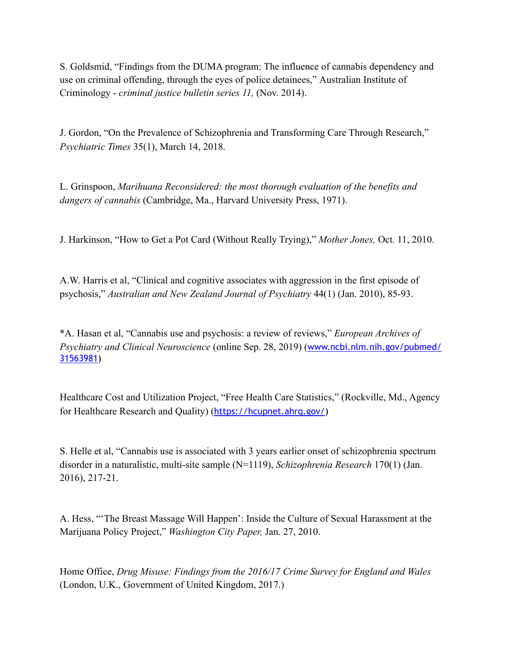S. Goldsmid, "Findings from the DUMA program: The influence of cannabis dependency and use on criminal offending, through the eyes of police detainees," Australian Institute of Criminology - *criminal justice bulletin series 11,* (Nov. 2014).

J. Gordon, "On the Prevalence of Schizophrenia and Transforming Care Through Research," *Psychiatric Times* 35(1), March 14, 2018.

L. Grinspoon, *Marihuana Reconsidered: the most thorough evaluation of the benefits and dangers of cannabis* (Cambridge, Ma., Harvard University Press, 1971).

J. Harkinson, "How to Get a Pot Card (Without Really Trying)," *Mother Jones,* Oct. 11, 2010.

A.W. Harris et al, "Clinical and cognitive associates with aggression in the first episode of psychosis," *Australian and New Zealand Journal of Psychiatry* 44(1) (Jan. 2010), 85-93.

\*A. Hasan et al, "Cannabis use and psychosis: a review of reviews," *European Archives of Psychiatry and Clinical Neuroscience* (online Sep. 28, 2019) ([www.ncbi.nlm.nih.gov/pubmed/](https://www.ncbi.nlm.nih.gov/pubmed/31563981) [31563981](https://www.ncbi.nlm.nih.gov/pubmed/31563981))

Healthcare Cost and Utilization Project, "Free Health Care Statistics," (Rockville, Md., Agency for Healthcare Research and Quality) ([https://hcupnet.ahrq.gov/\)](https://hcupnet.ahrq.gov/)

S. Helle et al, "Cannabis use is associated with 3 years earlier onset of schizophrenia spectrum disorder in a naturalistic, multi-site sample (N=1119), *Schizophrenia Research* 170(1) (Jan. 2016), 217-21.

A. Hess, "'The Breast Massage Will Happen': Inside the Culture of Sexual Harassment at the Marijuana Policy Project," *Washington City Paper,* Jan. 27, 2010.

Home Office, *Drug Misuse: Findings from the 2016/17 Crime Survey for England and Wales*  (London, U.K., Government of United Kingdom, 2017.)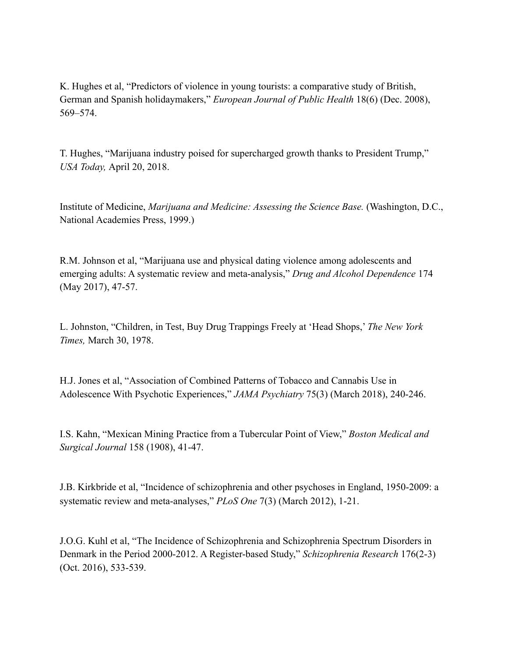K. Hughes et al, "Predictors of violence in young tourists: a comparative study of British, German and Spanish holidaymakers," *European Journal of Public Health* 18(6) (Dec. 2008), 569–574.

T. Hughes, "Marijuana industry poised for supercharged growth thanks to President Trump," *USA Today,* April 20, 2018.

Institute of Medicine, *Marijuana and Medicine: Assessing the Science Base.* (Washington, D.C., National Academies Press, 1999.)

R.M. Johnson et al, "Marijuana use and physical dating violence among adolescents and emerging adults: A systematic review and meta-analysis," *Drug and Alcohol Dependence* 174 (May 2017), 47-57.

L. Johnston, "Children, in Test, Buy Drug Trappings Freely at 'Head Shops,' *The New York Times,* March 30, 1978.

H.J. Jones et al, "Association of Combined Patterns of Tobacco and Cannabis Use in Adolescence With Psychotic Experiences," *JAMA Psychiatry* 75(3) (March 2018), 240-246.

I.S. Kahn, "Mexican Mining Practice from a Tubercular Point of View," *Boston Medical and Surgical Journal* 158 (1908), 41-47.

J.B. Kirkbride et al, "Incidence of schizophrenia and other psychoses in England, 1950-2009: a systematic review and meta-analyses," *PLoS One* 7(3) (March 2012), 1-21.

J.O.G. Kuhl et al, "The Incidence of Schizophrenia and Schizophrenia Spectrum Disorders in Denmark in the Period 2000-2012. A Register-based Study," *Schizophrenia Research* 176(2-3) (Oct. 2016), 533-539.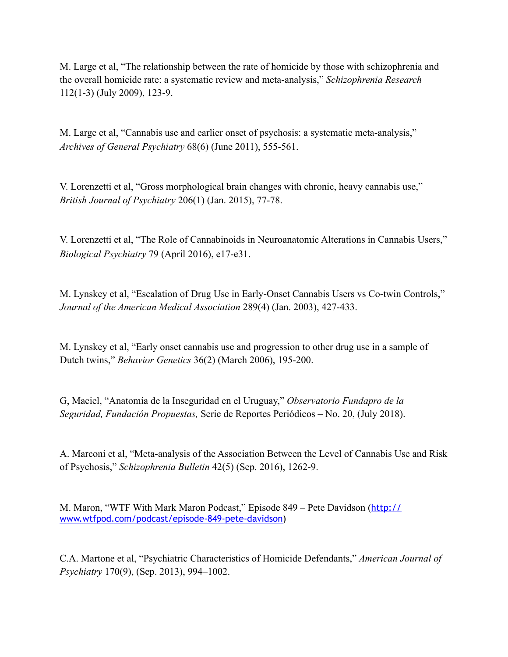M. Large et al, "The relationship between the rate of homicide by those with schizophrenia and the overall homicide rate: a systematic review and meta-analysis," *Schizophrenia Research*  112(1-3) (July 2009), 123-9.

M. Large et al, "Cannabis use and earlier onset of psychosis: a systematic meta-analysis," *Archives of General Psychiatry* 68(6) (June 2011), 555-561.

V. Lorenzetti et al, "Gross morphological brain changes with chronic, heavy cannabis use," *British Journal of Psychiatry* 206(1) (Jan. 2015), 77-78.

V. Lorenzetti et al, "The Role of Cannabinoids in Neuroanatomic Alterations in Cannabis Users," *Biological Psychiatry* 79 (April 2016), e17-e31.

M. Lynskey et al, "Escalation of Drug Use in Early-Onset Cannabis Users vs Co-twin Controls," *Journal of the American Medical Association* 289(4) (Jan. 2003), 427-433.

M. Lynskey et al, "Early onset cannabis use and progression to other drug use in a sample of Dutch twins," *Behavior Genetics* 36(2) (March 2006), 195-200.

G, Maciel, "Anatomía de la Inseguridad en el Uruguay," *Observatorio Fundapro de la Seguridad, Fundación Propuestas,* Serie de Reportes Periódicos – No. 20, (July 2018).

A. Marconi et al, "Meta-analysis of the Association Between the Level of Cannabis Use and Risk of Psychosis," *Schizophrenia Bulletin* 42(5) (Sep. 2016), 1262-9.

M. Maron, "WTF With Mark Maron Podcast," Episode 849 – Pete Davidson ([http://](http://www.wtfpod.com/podcast/episode-849-pete-davidson) [www.wtfpod.com/podcast/episode-849-pete-davidson](http://www.wtfpod.com/podcast/episode-849-pete-davidson))

C.A. Martone et al, "Psychiatric Characteristics of Homicide Defendants," *American Journal of Psychiatry* 170(9), (Sep. 2013), 994–1002.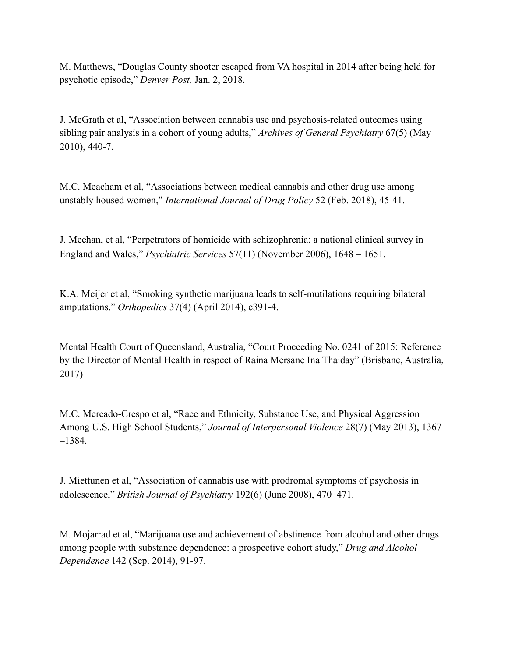M. Matthews, "Douglas County shooter escaped from VA hospital in 2014 after being held for psychotic episode," *Denver Post,* Jan. 2, 2018.

J. McGrath et al, "Association between cannabis use and psychosis-related outcomes using sibling pair analysis in a cohort of young adults," *Archives of General Psychiatry* 67(5) (May 2010), 440-7.

M.C. Meacham et al, "Associations between medical cannabis and other drug use among unstably housed women," *International Journal of Drug Policy* 52 (Feb. 2018), 45-41.

J. Meehan, et al, "Perpetrators of homicide with schizophrenia: a national clinical survey in England and Wales," *Psychiatric Services* 57(11) (November 2006), 1648 – 1651.

K.A. Meijer et al, "Smoking synthetic marijuana leads to self-mutilations requiring bilateral amputations," *Orthopedics* 37(4) (April 2014), e391-4.

Mental Health Court of Queensland, Australia, "Court Proceeding No. 0241 of 2015: Reference by the Director of Mental Health in respect of Raina Mersane Ina Thaiday" (Brisbane, Australia, 2017)

M.C. Mercado-Crespo et al, "Race and Ethnicity, Substance Use, and Physical Aggression Among U.S. High School Students," *Journal of Interpersonal Violence* 28(7) (May 2013), 1367 –1384.

J. Miettunen et al, "Association of cannabis use with prodromal symptoms of psychosis in adolescence," *British Journal of Psychiatry* 192(6) (June 2008), 470–471.

M. Mojarrad et al, "Marijuana use and achievement of abstinence from alcohol and other drugs among people with substance dependence: a prospective cohort study," *Drug and Alcohol Dependence* 142 (Sep. 2014), 91-97.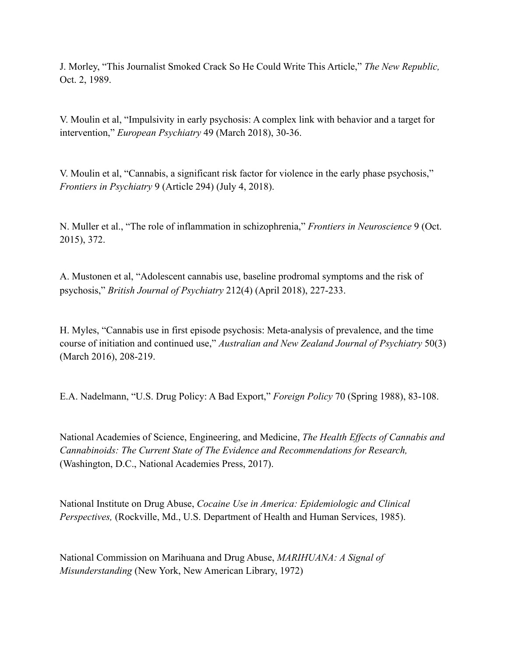J. Morley, "This Journalist Smoked Crack So He Could Write This Article," *The New Republic,*  Oct. 2, 1989.

V. Moulin et al, "Impulsivity in early psychosis: A complex link with behavior and a target for intervention," *European Psychiatry* 49 (March 2018), 30-36.

V. Moulin et al, "Cannabis, a significant risk factor for violence in the early phase psychosis," *Frontiers in Psychiatry* 9 (Article 294) (July 4, 2018).

N. Muller et al., "The role of inflammation in schizophrenia," *Frontiers in Neuroscience* 9 (Oct. 2015), 372.

A. Mustonen et al, "Adolescent cannabis use, baseline prodromal symptoms and the risk of psychosis," *British Journal of Psychiatry* 212(4) (April 2018), 227-233.

H. Myles, "Cannabis use in first episode psychosis: Meta-analysis of prevalence, and the time course of initiation and continued use," *Australian and New Zealand Journal of Psychiatry* 50(3) (March 2016), 208-219.

E.A. Nadelmann, "U.S. Drug Policy: A Bad Export," *Foreign Policy* 70 (Spring 1988), 83-108.

National Academies of Science, Engineering, and Medicine, *The Health Effects of Cannabis and Cannabinoids: The Current State of The Evidence and Recommendations for Research,*  (Washington, D.C., National Academies Press, 2017).

National Institute on Drug Abuse, *Cocaine Use in America: Epidemiologic and Clinical Perspectives,* (Rockville, Md., U.S. Department of Health and Human Services, 1985).

National Commission on Marihuana and Drug Abuse, *MARIHUANA: A Signal of Misunderstanding* (New York, New American Library, 1972)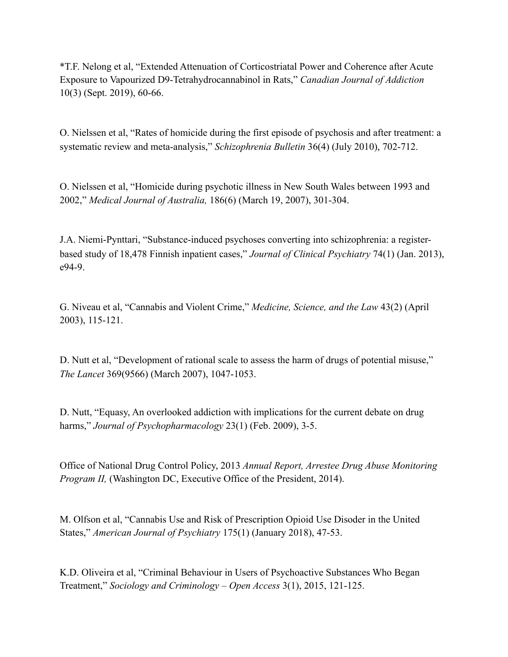\*T.F. Nelong et al, "Extended Attenuation of Corticostriatal Power and Coherence after Acute Exposure to Vapourized D9-Tetrahydrocannabinol in Rats," *Canadian Journal of Addiction*  10(3) (Sept. 2019), 60-66.

O. Nielssen et al, "Rates of homicide during the first episode of psychosis and after treatment: a systematic review and meta-analysis," *Schizophrenia Bulletin* 36(4) (July 2010), 702-712.

O. Nielssen et al, "Homicide during psychotic illness in New South Wales between 1993 and 2002," *Medical Journal of Australia,* 186(6) (March 19, 2007), 301-304.

J.A. Niemi-Pynttari, "Substance-induced psychoses converting into schizophrenia: a registerbased study of 18,478 Finnish inpatient cases," *Journal of Clinical Psychiatry* 74(1) (Jan. 2013), e94-9.

G. Niveau et al, "Cannabis and Violent Crime," *Medicine, Science, and the Law* 43(2) (April 2003), 115-121.

D. Nutt et al, "Development of rational scale to assess the harm of drugs of potential misuse," *The Lancet* 369(9566) (March 2007), 1047-1053.

D. Nutt, "Equasy, An overlooked addiction with implications for the current debate on drug harms," *Journal of Psychopharmacology* 23(1) (Feb. 2009), 3-5.

Office of National Drug Control Policy, 2013 *Annual Report, Arrestee Drug Abuse Monitoring Program II, (Washington DC, Executive Office of the President, 2014).* 

M. Olfson et al, "Cannabis Use and Risk of Prescription Opioid Use Disoder in the United States," *American Journal of Psychiatry* 175(1) (January 2018), 47-53.

K.D. Oliveira et al, "Criminal Behaviour in Users of Psychoactive Substances Who Began Treatment," *Sociology and Criminology – Open Access* 3(1), 2015, 121-125.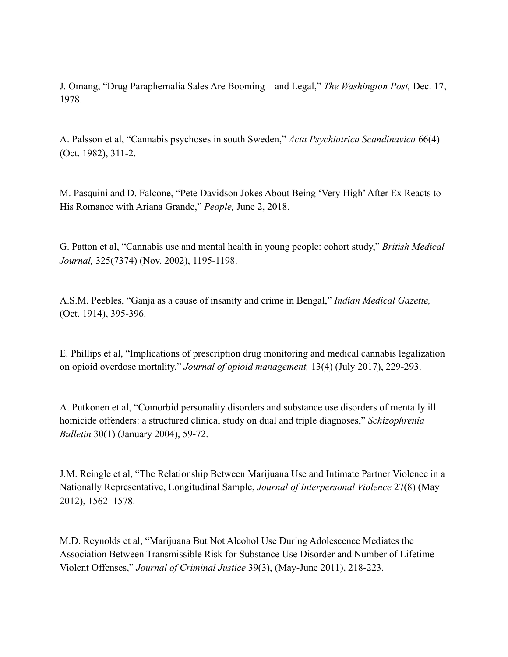J. Omang, "Drug Paraphernalia Sales Are Booming – and Legal," *The Washington Post,* Dec. 17, 1978.

A. Palsson et al, "Cannabis psychoses in south Sweden," *Acta Psychiatrica Scandinavica* 66(4) (Oct. 1982), 311-2.

M. Pasquini and D. Falcone, "Pete Davidson Jokes About Being 'Very High' After Ex Reacts to His Romance with Ariana Grande," *People,* June 2, 2018.

G. Patton et al, "Cannabis use and mental health in young people: cohort study," *British Medical Journal,* 325(7374) (Nov. 2002), 1195-1198.

A.S.M. Peebles, "Ganja as a cause of insanity and crime in Bengal," *Indian Medical Gazette,*  (Oct. 1914), 395-396.

E. Phillips et al, "Implications of prescription drug monitoring and medical cannabis legalization on opioid overdose mortality," *Journal of opioid management,* 13(4) (July 2017), 229-293.

A. Putkonen et al, "Comorbid personality disorders and substance use disorders of mentally ill homicide offenders: a structured clinical study on dual and triple diagnoses," *Schizophrenia Bulletin* 30(1) (January 2004), 59-72.

J.M. Reingle et al, "The Relationship Between Marijuana Use and Intimate Partner Violence in a Nationally Representative, Longitudinal Sample, *Journal of Interpersonal Violence* 27(8) (May 2012), 1562–1578.

M.D. Reynolds et al, "Marijuana But Not Alcohol Use During Adolescence Mediates the Association Between Transmissible Risk for Substance Use Disorder and Number of Lifetime Violent Offenses," *Journal of Criminal Justice* 39(3), (May-June 2011), 218-223.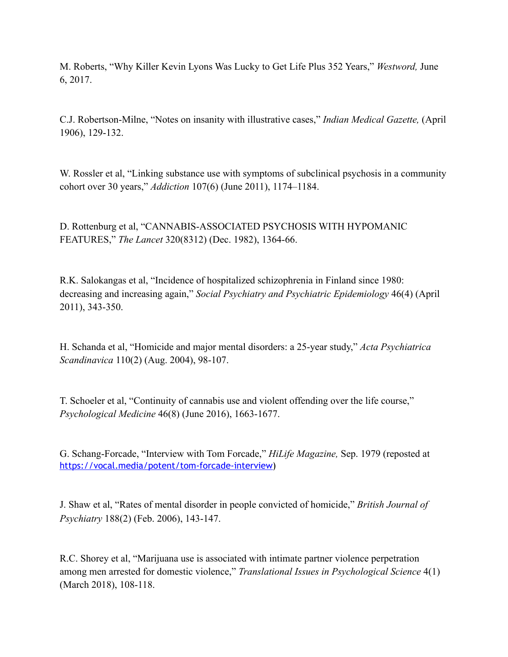M. Roberts, "Why Killer Kevin Lyons Was Lucky to Get Life Plus 352 Years," *Westword,* June 6, 2017.

C.J. Robertson-Milne, "Notes on insanity with illustrative cases," *Indian Medical Gazette,* (April 1906), 129-132.

W. Rossler et al, "Linking substance use with symptoms of subclinical psychosis in a community cohort over 30 years," *Addiction* 107(6) (June 2011), 1174–1184.

D. Rottenburg et al, "CANNABIS-ASSOCIATED PSYCHOSIS WITH HYPOMANIC FEATURES," *The Lancet* 320(8312) (Dec. 1982), 1364-66.

R.K. Salokangas et al, "Incidence of hospitalized schizophrenia in Finland since 1980: decreasing and increasing again," *Social Psychiatry and Psychiatric Epidemiology* 46(4) (April 2011), 343-350.

H. Schanda et al, "Homicide and major mental disorders: a 25-year study," *Acta Psychiatrica Scandinavica* 110(2) (Aug. 2004), 98-107.

T. Schoeler et al, "Continuity of cannabis use and violent offending over the life course," *Psychological Medicine* 46(8) (June 2016), 1663-1677.

G. Schang-Forcade, "Interview with Tom Forcade," *HiLife Magazine,* Sep. 1979 (reposted at [https://vocal.media/potent/tom-forcade-interview\)](https://vocal.media/potent/tom-forcade-interview)

J. Shaw et al, "Rates of mental disorder in people convicted of homicide," *British Journal of Psychiatry* 188(2) (Feb. 2006), 143-147.

R.C. Shorey et al, "Marijuana use is associated with intimate partner violence perpetration among men arrested for domestic violence," *Translational Issues in Psychological Science* 4(1) (March 2018), 108-118.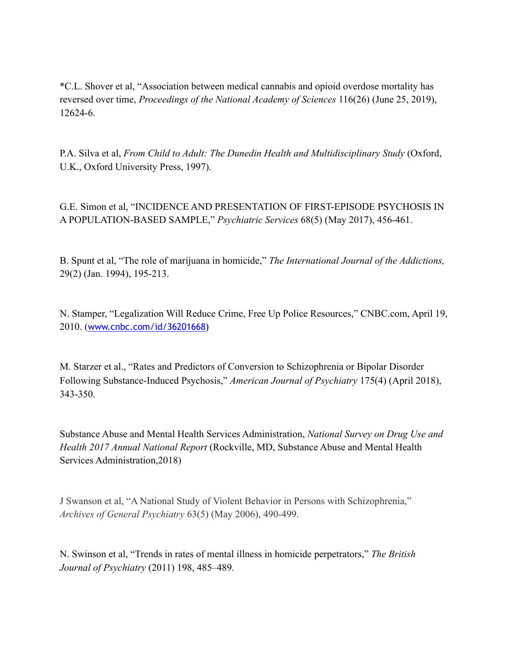\*C.L. Shover et al, "Association between medical cannabis and opioid overdose mortality has reversed over time, *Proceedings of the National Academy of Sciences* 116(26) (June 25, 2019), 12624-6.

P.A. Silva et al, *From Child to Adult: The Dunedin Health and Multidisciplinary Study* (Oxford, U.K., Oxford University Press, 1997).

G.E. Simon et al, "INCIDENCE AND PRESENTATION OF FIRST-EPISODE PSYCHOSIS IN A POPULATION-BASED SAMPLE," *Psychiatric Services* 68(5) (May 2017), 456-461.

B. Spunt et al, "The role of marijuana in homicide," *The International Journal of the Addictions,*  29(2) (Jan. 1994), 195-213.

N. Stamper, "Legalization Will Reduce Crime, Free Up Police Resources," CNBC.com, April 19, 2010. ([www.cnbc.com/id/36201668\)](https://www.cnbc.com/id/36201668)

M. Starzer et al., "Rates and Predictors of Conversion to Schizophrenia or Bipolar Disorder Following Substance-Induced Psychosis," *American Journal of Psychiatry* 175(4) (April 2018), 343-350.

Substance Abuse and Mental Health Services Administration, *National Survey on Drug Use and Health 2017 Annual National Report* (Rockville, MD, Substance Abuse and Mental Health Services Administration,2018)

J Swanson et al, "A National Study of Violent Behavior in Persons with Schizophrenia," *Archives of General Psychiatry* 63(5) (May 2006), 490-499.

N. Swinson et al, "Trends in rates of mental illness in homicide perpetrators," *The British Journal of Psychiatry* (2011) 198, 485–489.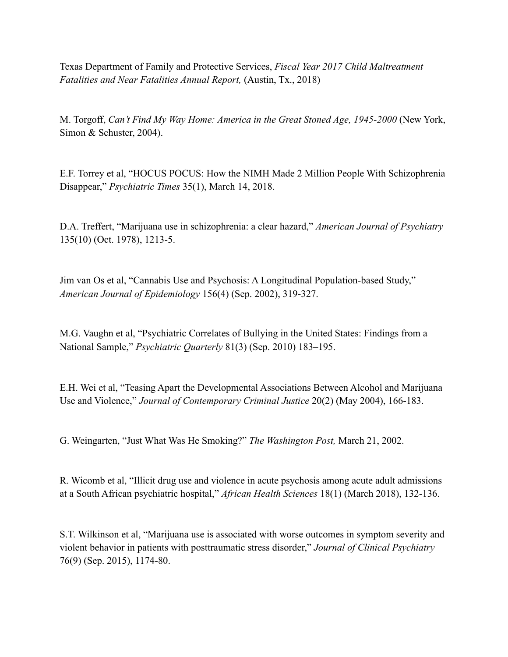Texas Department of Family and Protective Services, *Fiscal Year 2017 Child Maltreatment Fatalities and Near Fatalities Annual Report,* (Austin, Tx., 2018)

M. Torgoff, *Can't Find My Way Home: America in the Great Stoned Age, 1945-2000* (New York, Simon & Schuster, 2004).

E.F. Torrey et al, "HOCUS POCUS: How the NIMH Made 2 Million People With Schizophrenia Disappear," *Psychiatric Times* 35(1), March 14, 2018.

D.A. Treffert, "Marijuana use in schizophrenia: a clear hazard," *American Journal of Psychiatry*  135(10) (Oct. 1978), 1213-5.

Jim van Os et al, "Cannabis Use and Psychosis: A Longitudinal Population-based Study," *American Journal of Epidemiology* 156(4) (Sep. 2002), 319-327.

M.G. Vaughn et al, "Psychiatric Correlates of Bullying in the United States: Findings from a National Sample," *Psychiatric Quarterly* 81(3) (Sep. 2010) 183–195.

E.H. Wei et al, "Teasing Apart the Developmental Associations Between Alcohol and Marijuana Use and Violence," *Journal of Contemporary Criminal Justice* 20(2) (May 2004), 166-183.

G. Weingarten, "Just What Was He Smoking?" *The Washington Post,* March 21, 2002.

R. Wicomb et al, "Illicit drug use and violence in acute psychosis among acute adult admissions at a South African psychiatric hospital," *African Health Sciences* 18(1) (March 2018), 132-136.

S.T. Wilkinson et al, "Marijuana use is associated with worse outcomes in symptom severity and violent behavior in patients with posttraumatic stress disorder," *Journal of Clinical Psychiatry*  76(9) (Sep. 2015), 1174-80.